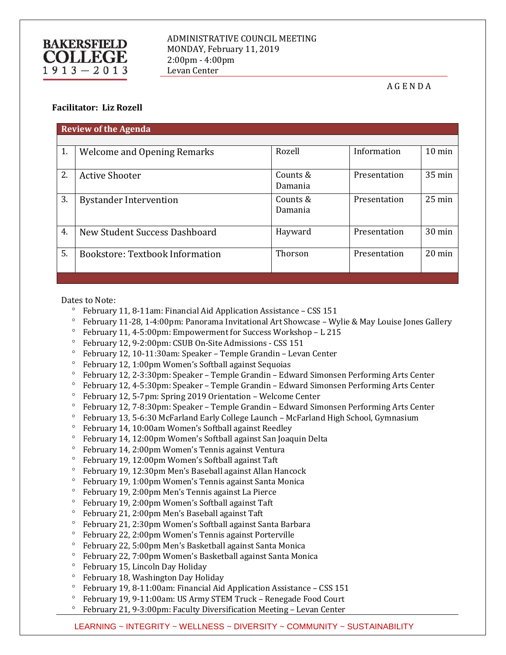## **BAKERSFIELD COLLEGE**  $1913 - 2013$

## A G E N D A

## **Facilitator: Liz Rozell**

| <b>Review of the Agenda</b> |                                    |                     |              |                  |
|-----------------------------|------------------------------------|---------------------|--------------|------------------|
|                             |                                    |                     |              |                  |
| 1.                          | <b>Welcome and Opening Remarks</b> | Rozell              | Information  | $10 \text{ min}$ |
| 2.                          | <b>Active Shooter</b>              | Counts &<br>Damania | Presentation | 35 min           |
| 3.                          | <b>Bystander Intervention</b>      | Counts &<br>Damania | Presentation | $25 \text{ min}$ |
| 4.                          | New Student Success Dashboard      | Hayward             | Presentation | $30 \text{ min}$ |
| 5.                          | Bookstore: Textbook Information    | Thorson             | Presentation | $20 \text{ min}$ |

Dates to Note:

- $^{\circ}$  February 11, 8-11am: Financial Aid Application Assistance CSS 151
- February 11-28, 1-4:00pm: Panorama Invitational Art Showcase Wylie & May Louise Jones Gallery
- February 11, 4-5:00pm: Empowerment for Success Workshop L 215
- February 12, 9-2:00pm: CSUB On-Site Admissions CSS 151
- February 12, 10-11:30am: Speaker Temple Grandin Levan Center
- February 12, 1:00pm Women's Softball against Sequoias
- February 12, 2-3:30pm: Speaker Temple Grandin Edward Simonsen Performing Arts Center
- February 12, 4-5:30pm: Speaker Temple Grandin Edward Simonsen Performing Arts Center
- February 12, 5-7pm: Spring 2019 Orientation Welcome Center
- $\degree$  February 12, 7-8:30pm: Speaker Temple Grandin Edward Simonsen Performing Arts Center
- February 13, 5-6:30 McFarland Early College Launch McFarland High School, Gymnasium
- February 14, 10:00am Women's Softball against Reedley
- February 14, 12:00pm Women's Softball against San Joaquin Delta
- February 14, 2:00pm Women's Tennis against Ventura
- February 19, 12:00pm Women's Softball against Taft
- February 19, 12:30pm Men's Baseball against Allan Hancock
- February 19, 1:00pm Women's Tennis against Santa Monica
- February 19, 2:00pm Men's Tennis against La Pierce
- February 19, 2:00pm Women's Softball against Taft
- February 21, 2:00pm Men's Baseball against Taft
- February 21, 2:30pm Women's Softball against Santa Barbara
- February 22, 2:00pm Women's Tennis against Porterville
- February 22, 5:00pm Men's Basketball against Santa Monica
- February 22, 7:00pm Women's Basketball against Santa Monica
- February 15, Lincoln Day Holiday
- February 18, Washington Day Holiday
- $\degree$  February 19, 8-11:00am: Financial Aid Application Assistance CSS 151
- February 19, 9-11:00am: US Army STEM Truck Renegade Food Court
- $\degree$  February 21, 9-3:00pm: Faculty Diversification Meeting Levan Center